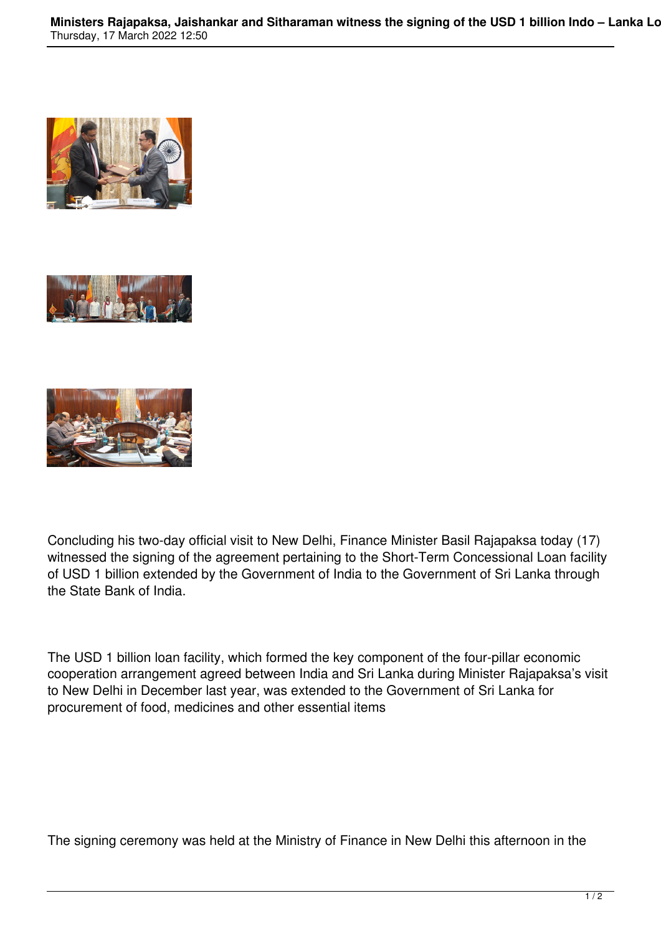





Concluding his two-day official visit to New Delhi, Finance Minister Basil Rajapaksa today (17) witnessed the signing of the agreement pertaining to the Short-Term Concessional Loan facility of USD 1 billion extended by the Government of India to the Government of Sri Lanka through the State Bank of India.

The USD 1 billion loan facility, which formed the key component of the four-pillar economic cooperation arrangement agreed between India and Sri Lanka during Minister Rajapaksa's visit to New Delhi in December last year, was extended to the Government of Sri Lanka for procurement of food, medicines and other essential items

The signing ceremony was held at the Ministry of Finance in New Delhi this afternoon in the